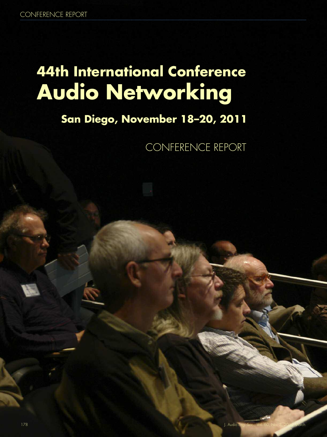# **44th International Conference Audio Networking**

# **San Diego, November 18–20, 2011**

CONFERENCE REPORT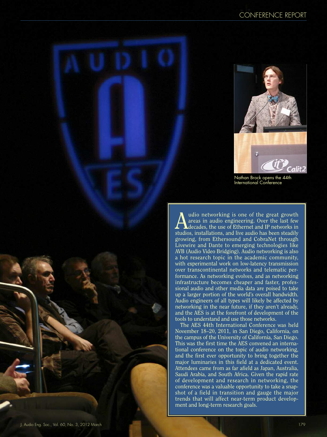

Nathan Brock opens the 44th International Conference

Audio networking is one of the great growth<br>areas in audio engineering. Over the last few<br>decades, the use of Ethernet and IP networks in<br>tudios installations and line audio has the stadilu areas in audio engineering. Over the last few studios, installations, and live audio has been steadily growing, from Ethersound and CobraNet through Livewire and Dante to emerging technologies like AVB (Audio Video Bridging). Audio networking is also a hot research topic in the academic community, with experimental work on low-latency transmission over transcontinental networks and telematic performance. As networking evolves, and as networking infrastructure becomes cheaper and faster, professional audio and other media data are poised to take up a larger portion of the world's overall bandwidth. Audio engineers of all types will likely be affected by networking in the near future, if they aren't already, and the AES is at the forefront of development of the tools to understand and use those networks.

The AES 44th International Conference was held November 18–20, 2011, in San Diego, California, on the campus of the University of California, San Diego. This was the first time the AES convened an international conference on the topic of audio networking, and the first ever opportunity to bring together the major luminaries in this field at a dedicated event. Attendees came from as far afield as Japan, Australia, Saudi Arabia, and South Africa. Given the rapid rate of development and research in networking, the conference was a valuable opportunity to take a snapshot of a field in transition and gauge the major trends that will affect near-term product development and long-term research goals.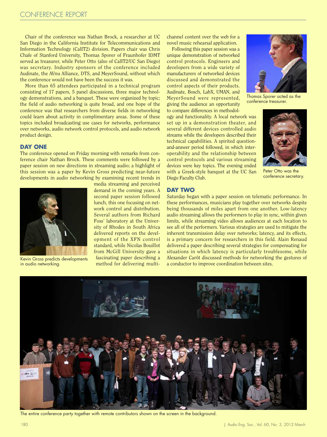Chair of the conference was Nathan Brock, a researcher at UC San Diego in the California Institute for Telecommunications and Information Technology (CalIT2) division. Papers chair was Chris Chafe of Stanford University, Thomas Sporer of Fraunhofer IDMT served as treasurer, while Peter Otto (also of CalIT2/UC San Diego) was secretary. Industry sponsors of the conference included Audinate, the AVnu Alliance, DTS, and MeyerSound, without which the conference would not have been the success it was.

More than 65 attendees participated in a technical program consisting of 17 papers, 5 panel discussions, three major technology demonstrations, and a banquet. These were organized by topic; the field of audio networking is quite broad, and one hope of the conference was that researchers from diverse fields in networking could learn about activity in complimentary areas. Some of these topics included broadcasting use cases for networks, performance over networks, audio network control protocols, and audio network product design.

### **DAY ONE**

The conference opened on Friday morning with remarks from conference chair Nathan Brock. These comments were followed by a paper session on new directions in streaming audio; a highlight of this session was a paper by Kevin Gross predicting near-future developments in audio networking by examining recent trends in



Kevin Gross predicts developments in audio networking.

media streaming and perceived demand in the coming years. A second paper session followed lunch, this one focusing on network control and distribution. Several authors from Richard Foss' laboratory at the University of Rhodes in South Africa delivered reports on the development of the XFN control standard, while Nicolas Bouillot from McGill University gave a fascinating paper describing a method for delivering multichannel content over the web for a novel music rehearsal application.

Following this paper session was a unique demonstration of networked control protocols. Engineers and developers from a wide variety of manufacturers of networked devices discussed and demonstrated the control aspects of their products. Audinate, Bosch, LabX, UMAN, and MeyerSound were represented, giving the audience an opportunity to compare differences in methodol-

ogy and functionality. A local network was set up in a demonstration theater, and several different devices controlled audio streams while the developers described their technical capabilities. A spirited questionand-answer period followed, in which interoperability and the relationship between control protocols and various streaming devices were key topics. The evening ended with a Greek-style banquet at the UC San Diego Faculty Club.



Thomas Sporer acted as the conference treasurer.



Peter Otto was the conference secretary.

# **DAY TWO**

Saturday began with a paper session on telematic performance. In these performances, musicians play together over networks despite being thousands of miles apart from one another. Low-latency audio streaming allows the performers to play in sync, within given limits, while streaming video allows audiences at each location to see all of the performers. Various strategies are used to mitigate the inherent transmission delay over networks; latency, and its effects, is a primary concern for researchers in this field. Alain Renaud delivered a paper describing several strategies for compensating for situations in which latency is particularly troublesome, while Alexander Carôt discussed methods for networking the gestures of a conductor to improve coordination between sites.



The entire conference party together with remote contributors shown on the screen in the background.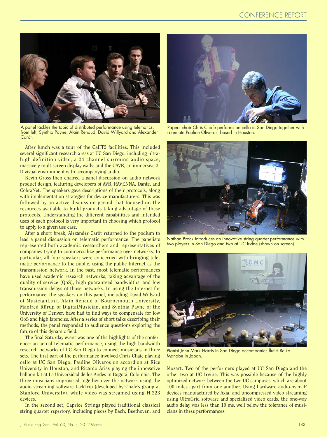

A panel tackles the topic of distributed performance using telematics: from left, Synthia Payne, Alain Renaud, David Willyard and Alexander Carôt.

After lunch was a tour of the CalIT2 facilities. This included several significant research areas at UC San Diego, including ultrahigh-definition video; a 24-channel surround audio space; massively multiscreen display walls; and the CAVE, an immersive 3- D visual environment with accompanying audio.

Kevin Gross then chaired a panel discussion on audio network product design, featuring developers of AVB, RAVENNA, Dante, and CobraNet. The speakers gave descriptions of their protocols, along with implementation strategies for device manufacturers. This was followed by an active discussion period that focused on the resources available to build products taking advantage of these protocols. Understanding the different capabilities and intended uses of each protocol is very important in choosing which protocol to apply to a given use case.

After a short break, Alexander Carôt returned to the podium to lead a panel discussion on telematic performance. The panelists represented both academic researchers and representatives of companies trying to commercialize performance over networks. In particular, all four speakers were concerned with bringing telematic performance to the public, using the public Internet as the transmission network. In the past, most telematic performances have used academic research networks, taking advantage of the quality of service (QoS), high guaranteed bandwidths, and low transmission delays of those networks. In using the Internet for performance, the speakers on this panel, including David Willyard of MusicianLink, Alain Renaud of Bournemouth University, Manfred Rürup of DigitalMusician, and Synthia Payne of the University of Denver, have had to find ways to compensate for low QoS and high latencies. After a series of short talks describing their methods, the panel responded to audience questions exploring the future of this dynamic field.

The final Saturday event was one of the highlights of the conference: an actual telematic performance, using the high-bandwidth research networks of UC San Diego to connect musicians in three sets. The first part of the performance involved Chris Chafe playing cello at UC San Diego, Pauline Oliveros on accordion at Rice University in Houston, and Ricardo Arias playing the innovative balloon kit at La Universidad de los Andes in Bogotá, Colombia. The three musicians improvised together over the network using the audio streaming software JackTrip (developed by Chafe's group at Stanford University), while video was streamed using H.323 devices.

In the second set, Caprice Strings played traditional classical string quartet repertory, including pieces by Bach, Beethoven, and



Papers chair Chris Chafe performs on cello in San Diego together with a remote Pauline Oliveros, based in Houston.



Nathan Brock introduces an innovative string quartet performance with two players in San Diego and two at UC Irvine (shown on screen).



Pianist John Mark Harris in San Diego accompanies flutist Reiko Manabe in Japan.

Mozart. Two of the performers played at UC San Diego and the other two at UC Irvine. This was possible because of the highly optimized network between the two UC campuses, which are about 100 miles apart from one another. Using hardware audio-over-IP devices manufactured by Axia, and uncompressed video streaming using UltraGrid software and specialized video cards, the one-way audio delay was less than 10 ms, well below the tolerance of musicians in these performances.